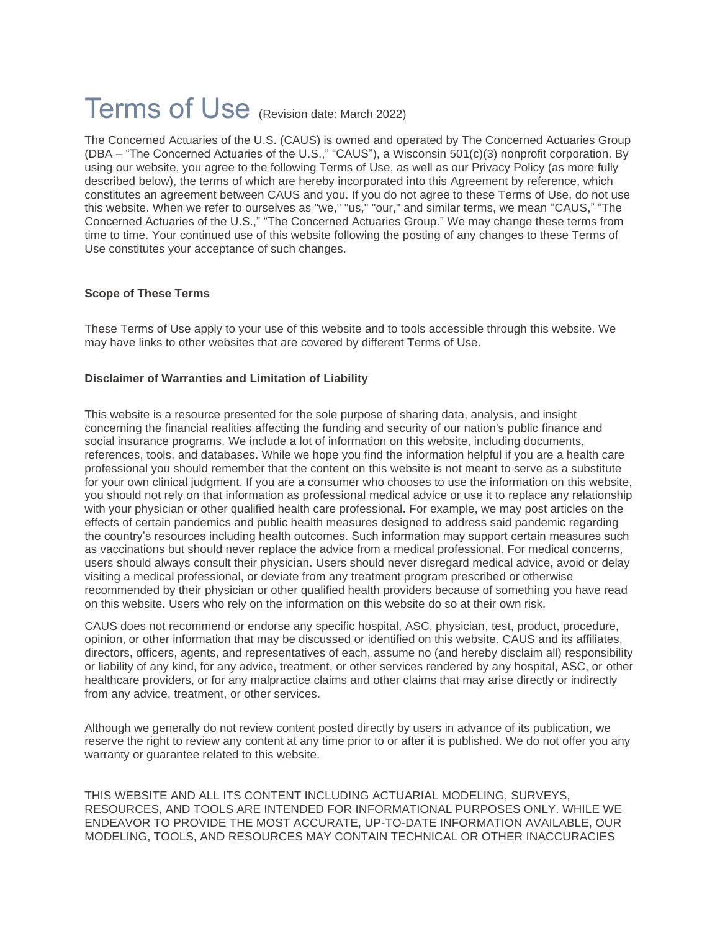# Terms of Use (Revision date: March 2022)

The Concerned Actuaries of the U.S. (CAUS) is owned and operated by The Concerned Actuaries Group (DBA – "The Concerned Actuaries of the U.S.," "CAUS"), a Wisconsin 501(c)(3) nonprofit corporation. By using our website, you agree to the following Terms of Use, as well as our Privacy Policy (as more fully described below), the terms of which are hereby incorporated into this Agreement by reference, which constitutes an agreement between CAUS and you. If you do not agree to these Terms of Use, do not use this website. When we refer to ourselves as "we," "us," "our," and similar terms, we mean "CAUS," "The Concerned Actuaries of the U.S.," "The Concerned Actuaries Group." We may change these terms from time to time. Your continued use of this website following the posting of any changes to these Terms of Use constitutes your acceptance of such changes.

#### **Scope of These Terms**

These Terms of Use apply to your use of this website and to tools accessible through this website. We may have links to other websites that are covered by different Terms of Use.

# **Disclaimer of Warranties and Limitation of Liability**

This website is a resource presented for the sole purpose of sharing data, analysis, and insight concerning the financial realities affecting the funding and security of our nation's public finance and social insurance programs. We include a lot of information on this website, including documents, references, tools, and databases. While we hope you find the information helpful if you are a health care professional you should remember that the content on this website is not meant to serve as a substitute for your own clinical judgment. If you are a consumer who chooses to use the information on this website, you should not rely on that information as professional medical advice or use it to replace any relationship with your physician or other qualified health care professional. For example, we may post articles on the effects of certain pandemics and public health measures designed to address said pandemic regarding the country's resources including health outcomes. Such information may support certain measures such as vaccinations but should never replace the advice from a medical professional. For medical concerns, users should always consult their physician. Users should never disregard medical advice, avoid or delay visiting a medical professional, or deviate from any treatment program prescribed or otherwise recommended by their physician or other qualified health providers because of something you have read on this website. Users who rely on the information on this website do so at their own risk.

CAUS does not recommend or endorse any specific hospital, ASC, physician, test, product, procedure, opinion, or other information that may be discussed or identified on this website. CAUS and its affiliates, directors, officers, agents, and representatives of each, assume no (and hereby disclaim all) responsibility or liability of any kind, for any advice, treatment, or other services rendered by any hospital, ASC, or other healthcare providers, or for any malpractice claims and other claims that may arise directly or indirectly from any advice, treatment, or other services.

Although we generally do not review content posted directly by users in advance of its publication, we reserve the right to review any content at any time prior to or after it is published. We do not offer you any warranty or guarantee related to this website.

THIS WEBSITE AND ALL ITS CONTENT INCLUDING ACTUARIAL MODELING, SURVEYS, RESOURCES, AND TOOLS ARE INTENDED FOR INFORMATIONAL PURPOSES ONLY. WHILE WE ENDEAVOR TO PROVIDE THE MOST ACCURATE, UP-TO-DATE INFORMATION AVAILABLE, OUR MODELING, TOOLS, AND RESOURCES MAY CONTAIN TECHNICAL OR OTHER INACCURACIES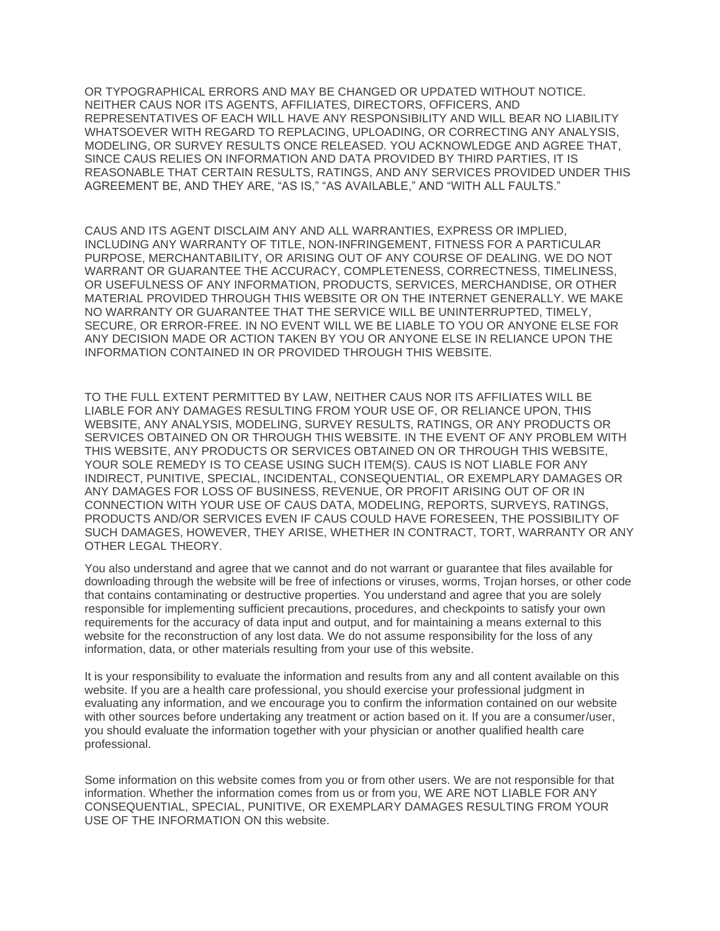OR TYPOGRAPHICAL ERRORS AND MAY BE CHANGED OR UPDATED WITHOUT NOTICE. NEITHER CAUS NOR ITS AGENTS, AFFILIATES, DIRECTORS, OFFICERS, AND REPRESENTATIVES OF EACH WILL HAVE ANY RESPONSIBILITY AND WILL BEAR NO LIABILITY WHATSOEVER WITH REGARD TO REPLACING, UPLOADING, OR CORRECTING ANY ANALYSIS, MODELING, OR SURVEY RESULTS ONCE RELEASED. YOU ACKNOWLEDGE AND AGREE THAT, SINCE CAUS RELIES ON INFORMATION AND DATA PROVIDED BY THIRD PARTIES, IT IS REASONABLE THAT CERTAIN RESULTS, RATINGS, AND ANY SERVICES PROVIDED UNDER THIS AGREEMENT BE, AND THEY ARE, "AS IS," "AS AVAILABLE," AND "WITH ALL FAULTS."

CAUS AND ITS AGENT DISCLAIM ANY AND ALL WARRANTIES, EXPRESS OR IMPLIED, INCLUDING ANY WARRANTY OF TITLE, NON-INFRINGEMENT, FITNESS FOR A PARTICULAR PURPOSE, MERCHANTABILITY, OR ARISING OUT OF ANY COURSE OF DEALING. WE DO NOT WARRANT OR GUARANTEE THE ACCURACY, COMPLETENESS, CORRECTNESS, TIMELINESS, OR USEFULNESS OF ANY INFORMATION, PRODUCTS, SERVICES, MERCHANDISE, OR OTHER MATERIAL PROVIDED THROUGH THIS WEBSITE OR ON THE INTERNET GENERALLY. WE MAKE NO WARRANTY OR GUARANTEE THAT THE SERVICE WILL BE UNINTERRUPTED, TIMELY, SECURE, OR ERROR-FREE. IN NO EVENT WILL WE BE LIABLE TO YOU OR ANYONE ELSE FOR ANY DECISION MADE OR ACTION TAKEN BY YOU OR ANYONE ELSE IN RELIANCE UPON THE INFORMATION CONTAINED IN OR PROVIDED THROUGH THIS WEBSITE.

TO THE FULL EXTENT PERMITTED BY LAW, NEITHER CAUS NOR ITS AFFILIATES WILL BE LIABLE FOR ANY DAMAGES RESULTING FROM YOUR USE OF, OR RELIANCE UPON, THIS WEBSITE, ANY ANALYSIS, MODELING, SURVEY RESULTS, RATINGS, OR ANY PRODUCTS OR SERVICES OBTAINED ON OR THROUGH THIS WEBSITE. IN THE EVENT OF ANY PROBLEM WITH THIS WEBSITE, ANY PRODUCTS OR SERVICES OBTAINED ON OR THROUGH THIS WEBSITE, YOUR SOLE REMEDY IS TO CEASE USING SUCH ITEM(S). CAUS IS NOT LIABLE FOR ANY INDIRECT, PUNITIVE, SPECIAL, INCIDENTAL, CONSEQUENTIAL, OR EXEMPLARY DAMAGES OR ANY DAMAGES FOR LOSS OF BUSINESS, REVENUE, OR PROFIT ARISING OUT OF OR IN CONNECTION WITH YOUR USE OF CAUS DATA, MODELING, REPORTS, SURVEYS, RATINGS, PRODUCTS AND/OR SERVICES EVEN IF CAUS COULD HAVE FORESEEN, THE POSSIBILITY OF SUCH DAMAGES, HOWEVER, THEY ARISE, WHETHER IN CONTRACT, TORT, WARRANTY OR ANY OTHER LEGAL THEORY.

You also understand and agree that we cannot and do not warrant or guarantee that files available for downloading through the website will be free of infections or viruses, worms, Trojan horses, or other code that contains contaminating or destructive properties. You understand and agree that you are solely responsible for implementing sufficient precautions, procedures, and checkpoints to satisfy your own requirements for the accuracy of data input and output, and for maintaining a means external to this website for the reconstruction of any lost data. We do not assume responsibility for the loss of any information, data, or other materials resulting from your use of this website.

It is your responsibility to evaluate the information and results from any and all content available on this website. If you are a health care professional, you should exercise your professional judgment in evaluating any information, and we encourage you to confirm the information contained on our website with other sources before undertaking any treatment or action based on it. If you are a consumer/user, you should evaluate the information together with your physician or another qualified health care professional.

Some information on this website comes from you or from other users. We are not responsible for that information. Whether the information comes from us or from you, WE ARE NOT LIABLE FOR ANY CONSEQUENTIAL, SPECIAL, PUNITIVE, OR EXEMPLARY DAMAGES RESULTING FROM YOUR USE OF THE INFORMATION ON this website.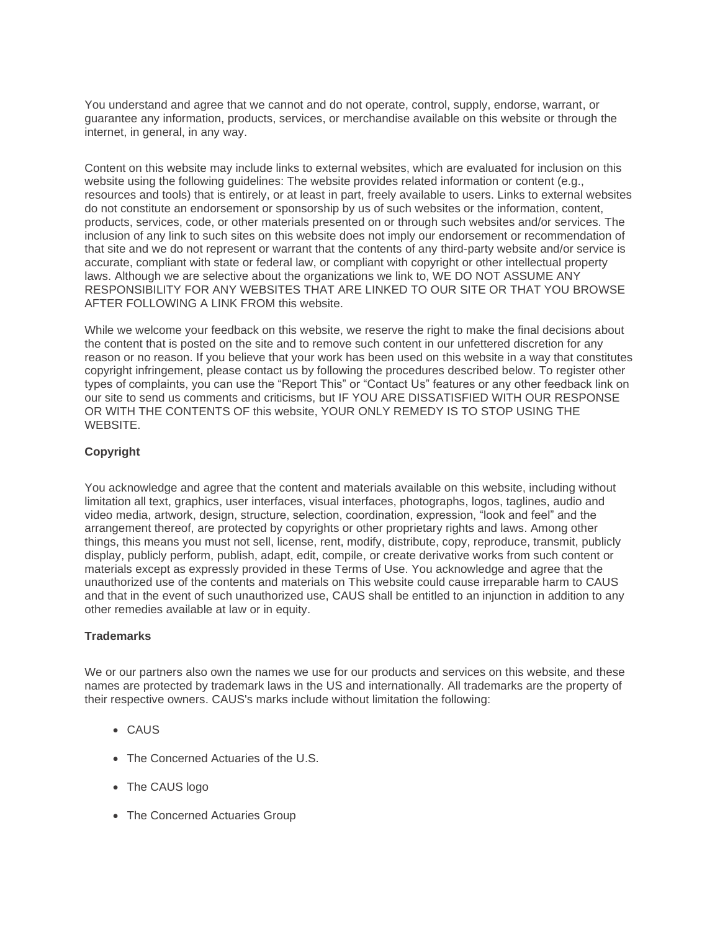You understand and agree that we cannot and do not operate, control, supply, endorse, warrant, or guarantee any information, products, services, or merchandise available on this website or through the internet, in general, in any way.

Content on this website may include links to external websites, which are evaluated for inclusion on this website using the following guidelines: The website provides related information or content (e.g., resources and tools) that is entirely, or at least in part, freely available to users. Links to external websites do not constitute an endorsement or sponsorship by us of such websites or the information, content, products, services, code, or other materials presented on or through such websites and/or services. The inclusion of any link to such sites on this website does not imply our endorsement or recommendation of that site and we do not represent or warrant that the contents of any third-party website and/or service is accurate, compliant with state or federal law, or compliant with copyright or other intellectual property laws. Although we are selective about the organizations we link to, WE DO NOT ASSUME ANY RESPONSIBILITY FOR ANY WEBSITES THAT ARE LINKED TO OUR SITE OR THAT YOU BROWSE AFTER FOLLOWING A LINK FROM this website.

While we welcome your feedback on this website, we reserve the right to make the final decisions about the content that is posted on the site and to remove such content in our unfettered discretion for any reason or no reason. If you believe that your work has been used on this website in a way that constitutes copyright infringement, please contact us by following the procedures described below. To register other types of complaints, you can use the "Report This" or "Contact Us" features or any other feedback link on our site to send us comments and criticisms, but IF YOU ARE DISSATISFIED WITH OUR RESPONSE OR WITH THE CONTENTS OF this website, YOUR ONLY REMEDY IS TO STOP USING THE WEBSITE.

# **Copyright**

You acknowledge and agree that the content and materials available on this website, including without limitation all text, graphics, user interfaces, visual interfaces, photographs, logos, taglines, audio and video media, artwork, design, structure, selection, coordination, expression, "look and feel" and the arrangement thereof, are protected by copyrights or other proprietary rights and laws. Among other things, this means you must not sell, license, rent, modify, distribute, copy, reproduce, transmit, publicly display, publicly perform, publish, adapt, edit, compile, or create derivative works from such content or materials except as expressly provided in these Terms of Use. You acknowledge and agree that the unauthorized use of the contents and materials on This website could cause irreparable harm to CAUS and that in the event of such unauthorized use, CAUS shall be entitled to an injunction in addition to any other remedies available at law or in equity.

# **Trademarks**

We or our partners also own the names we use for our products and services on this website, and these names are protected by trademark laws in the US and internationally. All trademarks are the property of their respective owners. CAUS's marks include without limitation the following:

- CAUS
- The Concerned Actuaries of the U.S.
- The CAUS logo
- The Concerned Actuaries Group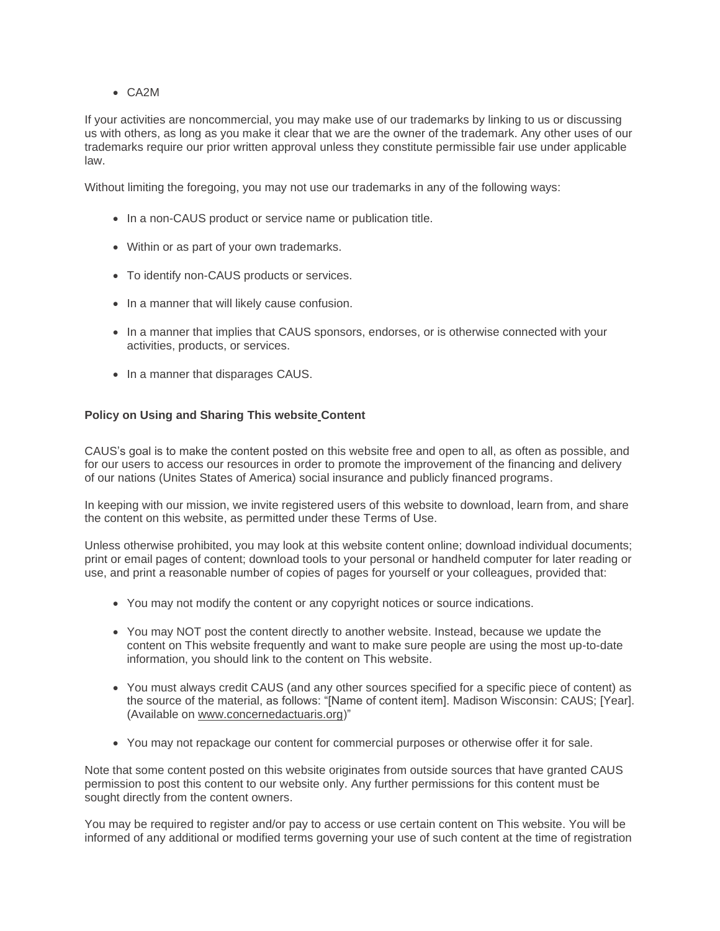# • CA2M

If your activities are noncommercial, you may make use of our trademarks by linking to us or discussing us with others, as long as you make it clear that we are the owner of the trademark. Any other uses of our trademarks require our prior written approval unless they constitute permissible fair use under applicable law.

Without limiting the foregoing, you may not use our trademarks in any of the following ways:

- In a non-CAUS product or service name or publication title.
- Within or as part of your own trademarks.
- To identify non-CAUS products or services.
- In a manner that will likely cause confusion.
- In a manner that implies that CAUS sponsors, endorses, or is otherwise connected with your activities, products, or services.
- In a manner that disparages CAUS.

# **Policy on Using and Sharing This websit[e](http://www.ihi.org/Pages) Content**

CAUS's goal is to make the content posted on this website free and open to all, as often as possible, and for our users to access our resources in order to promote the improvement of the financing and delivery of our nations (Unites States of America) social insurance and publicly financed programs.

In keeping with our mission, we invite registered users of this website to download, learn from, and share the content on this website, as permitted under these Terms of Use.

Unless otherwise prohibited, you may look at this website content online; download individual documents; print or email pages of content; download tools to your personal or handheld computer for later reading or use, and print a reasonable number of copies of pages for yourself or your colleagues, provided that:

- You may not modify the content or any copyright notices or source indications.
- You may NOT post the content directly to another website. Instead, because we update the content on This website frequently and want to make sure people are using the most up-to-date information, you should link to the content on This website.
- You must always credit CAUS (and any other sources specified for a specific piece of content) as the source of the material, as follows: "[Name of content item]. Madison Wisconsin: CAUS; [Year]. (Available on www.concernedactuaris.org)"
- You may not repackage our content for commercial purposes or otherwise offer it for sale.

Note that some content posted on this website originates from outside sources that have granted CAUS permission to post this content to our website only. Any further permissions for this content must be sought directly from the content owners.

You may be required to register and/or pay to access or use certain content on This website. You will be informed of any additional or modified terms governing your use of such content at the time of registration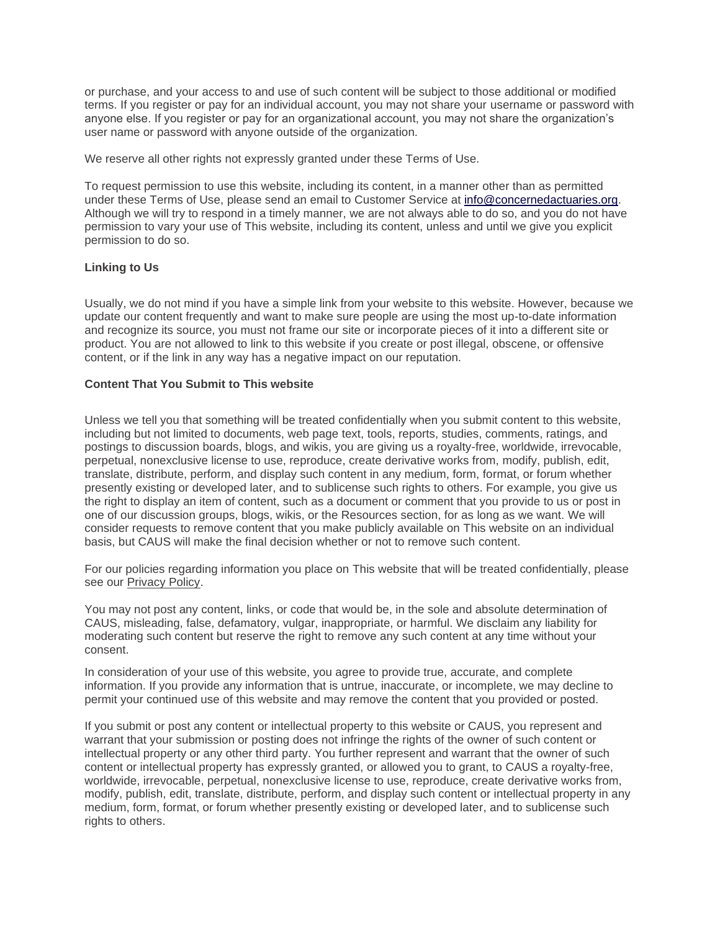or purchase, and your access to and use of such content will be subject to those additional or modified terms. If you register or pay for an individual account, you may not share your username or password with anyone else. If you register or pay for an organizational account, you may not share the organization's user name or password with anyone outside of the organization.

We reserve all other rights not expressly granted under these Terms of Use.

To request permission to use this website, including its content, in a manner other than as permitted under these Terms of Use, please send an email to Customer Service at [info@concernedactuaries.org.](mailto:info@concernedactuaries.org) Although we will try to respond in a timely manner, we are not always able to do so, and you do not have permission to vary your use of This website, including its content, unless and until we give you explicit permission to do so.

# **Linking to Us**

Usually, we do not mind if you have a simple link from your website to this website. However, because we update our content frequently and want to make sure people are using the most up-to-date information and recognize its source, you must not frame our site or incorporate pieces of it into a different site or product. You are not allowed to link to this website if you create or post illegal, obscene, or offensive content, or if the link in any way has a negative impact on our reputation.

# **Content That You Submit to This website**

Unless we tell you that something will be treated confidentially when you submit content to this website, including but not limited to documents, web page text, tools, reports, studies, comments, ratings, and postings to discussion boards, blogs, and wikis, you are giving us a royalty-free, worldwide, irrevocable, perpetual, nonexclusive license to use, reproduce, create derivative works from, modify, publish, edit, translate, distribute, perform, and display such content in any medium, form, format, or forum whether presently existing or developed later, and to sublicense such rights to others. For example, you give us the right to display an item of content, such as a document or comment that you provide to us or post in one of our discussion groups, blogs, wikis, or the Resources section, for as long as we want. We will consider requests to remove content that you make publicly available on This website on an individual basis, but CAUS will make the final decision whether or not to remove such content.

For our policies regarding information you place on This website that will be treated confidentially, please see our Privacy Policy.

You may not post any content, links, or code that would be, in the sole and absolute determination of CAUS, misleading, false, defamatory, vulgar, inappropriate, or harmful. We disclaim any liability for moderating such content but reserve the right to remove any such content at any time without your consent.

In consideration of your use of this website, you agree to provide true, accurate, and complete information. If you provide any information that is untrue, inaccurate, or incomplete, we may decline to permit your continued use of this website and may remove the content that you provided or posted.

If you submit or post any content or intellectual property to this website or CAUS, you represent and warrant that your submission or posting does not infringe the rights of the owner of such content or intellectual property or any other third party. You further represent and warrant that the owner of such content or intellectual property has expressly granted, or allowed you to grant, to CAUS a royalty-free, worldwide, irrevocable, perpetual, nonexclusive license to use, reproduce, create derivative works from, modify, publish, edit, translate, distribute, perform, and display such content or intellectual property in any medium, form, format, or forum whether presently existing or developed later, and to sublicense such rights to others.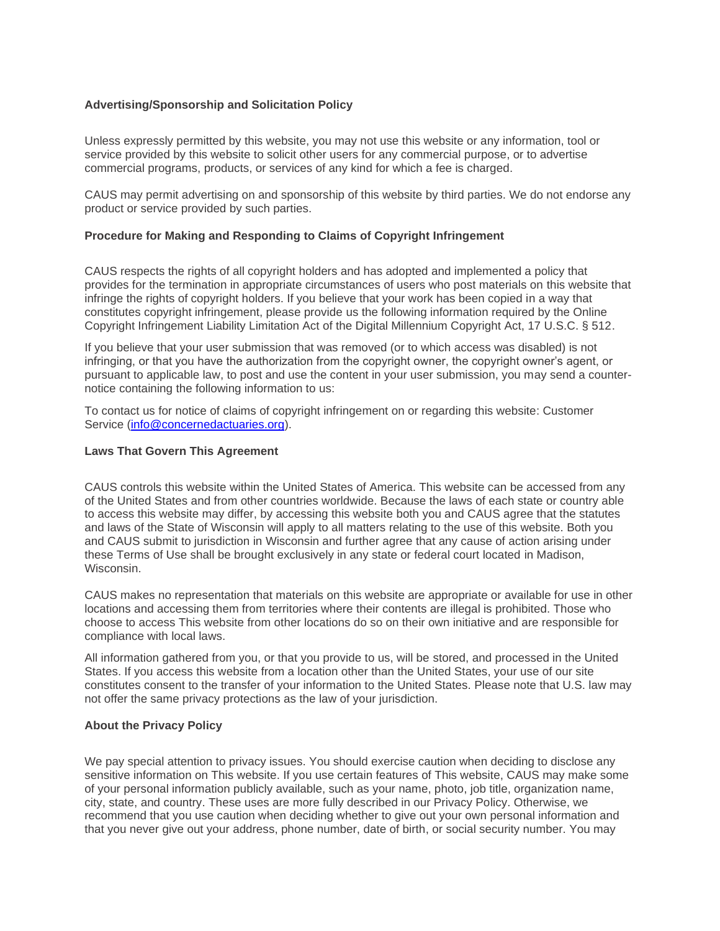#### **Advertising/Sponsorship and Solicitation Policy**

Unless expressly permitted by this website, you may not use this website or any information, tool or service provided by this website to solicit other users for any commercial purpose, or to advertise commercial programs, products, or services of any kind for which a fee is charged.

CAUS may permit advertising on and sponsorship of this website by third parties. We do not endorse any product or service provided by such parties.

#### **Procedure for Making and Responding to Claims of Copyright Infringement**

CAUS respects the rights of all copyright holders and has adopted and implemented a policy that provides for the termination in appropriate circumstances of users who post materials on this website that infringe the rights of copyright holders. If you believe that your work has been copied in a way that constitutes copyright infringement, please provide us the following information required by the Online Copyright Infringement Liability Limitation Act of the Digital Millennium Copyright Act, 17 U.S.C. § 512.

If you believe that your user submission that was removed (or to which access was disabled) is not infringing, or that you have the authorization from the copyright owner, the copyright owner's agent, or pursuant to applicable law, to post and use the content in your user submission, you may send a counternotice containing the following information to us:

To contact us for notice of claims of copyright infringement on or regarding this website: Customer Service [\(info@concernedactuaries.org\)](mailto:info@concernedactuaries.org).

#### **Laws That Govern This Agreement**

CAUS controls this website within the United States of America. This website can be accessed from any of the United States and from other countries worldwide. Because the laws of each state or country able to access this website may differ, by accessing this website both you and CAUS agree that the statutes and laws of the State of Wisconsin will apply to all matters relating to the use of this website. Both you and CAUS submit to jurisdiction in Wisconsin and further agree that any cause of action arising under these Terms of Use shall be brought exclusively in any state or federal court located in Madison, Wisconsin.

CAUS makes no representation that materials on this website are appropriate or available for use in other locations and accessing them from territories where their contents are illegal is prohibited. Those who choose to access This website from other locations do so on their own initiative and are responsible for compliance with local laws.

All information gathered from you, or that you provide to us, will be stored, and processed in the United States. If you access this website from a location other than the United States, your use of our site constitutes consent to the transfer of your information to the United States. Please note that U.S. law may not offer the same privacy protections as the law of your jurisdiction.

#### **About the Privacy Policy**

We pay special attention to privacy issues. You should exercise caution when deciding to disclose any sensitive information on This website. If you use certain features of This website, CAUS may make some of your personal information publicly available, such as your name, photo, job title, organization name, city, state, and country. These uses are more fully described in our Privacy Policy. Otherwise, we recommend that you use caution when deciding whether to give out your own personal information and that you never give out your address, phone number, date of birth, or social security number. You may